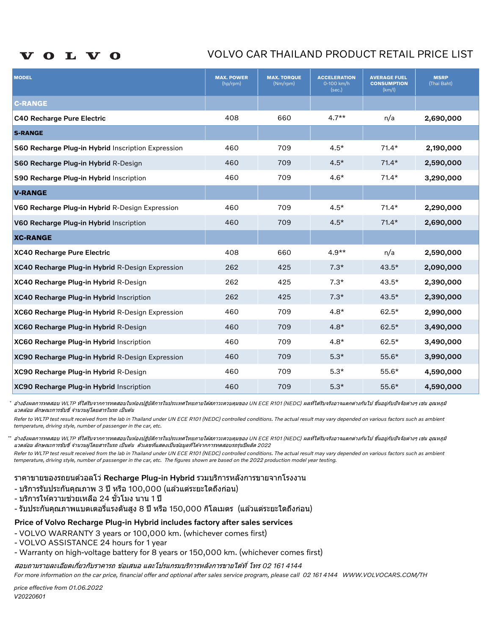#### L V O  $\bullet$

# VOLVO CAR THAILAND PRODUCT RETAIL PRICE LIST

| <b>MODEL</b>                                       | <b>MAX. POWER</b><br>(hp/rpm) | <b>MAX. TORQUE</b><br>(Nm/rpm) | <b>ACCELERATION</b><br>0-100 km/h<br>(sec.) | <b>AVERAGE FUEL</b><br><b>CONSUMPTION</b><br>(km/l) | <b>MSRP</b><br>(Thai Baht) |
|----------------------------------------------------|-------------------------------|--------------------------------|---------------------------------------------|-----------------------------------------------------|----------------------------|
| <b>C-RANGE</b>                                     |                               |                                |                                             |                                                     |                            |
| C40 Recharge Pure Electric                         | 408                           | 660                            | $4.7**$                                     | n/a                                                 | 2,690,000                  |
| <b>S-RANGE</b>                                     |                               |                                |                                             |                                                     |                            |
| S60 Recharge Plug-in Hybrid Inscription Expression | 460                           | 709                            | $4.5*$                                      | $71.4*$                                             | 2,190,000                  |
| S60 Recharge Plug-in Hybrid R-Design               | 460                           | 709                            | $4.5*$                                      | $71.4*$                                             | 2,590,000                  |
| S90 Recharge Plug-in Hybrid Inscription            | 460                           | 709                            | $4.6*$                                      | $71.4*$                                             | 3,290,000                  |
| <b>V-RANGE</b>                                     |                               |                                |                                             |                                                     |                            |
| V60 Recharge Plug-in Hybrid R-Design Expression    | 460                           | 709                            | $4.5*$                                      | $71.4*$                                             | 2,290,000                  |
| V60 Recharge Plug-in Hybrid Inscription            | 460                           | 709                            | $4.5*$                                      | $71.4*$                                             | 2,690,000                  |
| <b>XC-RANGE</b>                                    |                               |                                |                                             |                                                     |                            |
| XC40 Recharge Pure Electric                        | 408                           | 660                            | $4.9**$                                     | n/a                                                 | 2,590,000                  |
| XC40 Recharge Plug-in Hybrid R-Design Expression   | 262                           | 425                            | $7.3*$                                      | $43.5*$                                             | 2,090,000                  |
| XC40 Recharge Plug-in Hybrid R-Design              | 262                           | 425                            | $7.3*$                                      | $43.5*$                                             | 2,390,000                  |
| XC40 Recharge Plug-in Hybrid Inscription           | 262                           | 425                            | $7.3*$                                      | $43.5*$                                             | 2,390,000                  |
| XC60 Recharge Plug-in Hybrid R-Design Expression   | 460                           | 709                            | $4.8*$                                      | $62.5*$                                             | 2,990,000                  |
| XC60 Recharge Plug-in Hybrid R-Design              | 460                           | 709                            | $4.8*$                                      | $62.5*$                                             | 3,490,000                  |
| XC60 Recharge Plug-in Hybrid Inscription           | 460                           | 709                            | $4.8*$                                      | $62.5*$                                             | 3,490,000                  |
| XC90 Recharge Plug-in Hybrid R-Design Expression   | 460                           | 709                            | $5.3*$                                      | $55.6*$                                             | 3,990,000                  |
| XC90 Recharge Plug-in Hybrid R-Design              | 460                           | 709                            | $5.3*$                                      | $55.6*$                                             | 4,590,000                  |
| XC90 Recharge Plug-in Hybrid Inscription           | 460                           | 709                            | $5.3*$                                      | $55.6*$                                             | 4,590,000                  |

\* อำงอิงผลการทดสอบ WLTP ที่ใดรีบจากการทดสอบในห้องปฏิบัติการในประเทศไทยภายใต้สภาวะควบคมุของ UN ECE R101 (NEDC) ผลที่ไดรีบจริงอาจแตกต่างกันไป ขึ้นอยู่กับปัจจัยต่างๆ เช่น อุณหภูมิ แวดล้อม ลักษณะการขับขี่ จำนวนผู่โดยสารในรถ เป็นต้น

Refer to WLTP test result received from the lab in Thailand under UN ECE R101 (NEDC) controlled conditions. The actual result may vary depended on various factors such as ambient temperature, driving style, number of passenger in the car, etc.

\*\* อางอิงผลการทดสอบ WLTP ที่ไดรับจากการทดสอบในห่องปฏิบัติการในประเทศไทยภายใต้สภาวะควบคมของ UN ECE R101 (NEDC) ผลที่ไดรับจริงอาจแตกต่างกันไป ขึ้นอยู่กับปัจจัยต่างๆ เช่น อณหภมิ แวดล้อม ลักษณะการขับขี่ จำนวนผู่โดยสารในรถ เป็นต้น ตัวเลขที่แสดงเป็นข้อมูลที่ได้จากการทดสอบรถรุ่นปีผลิต 2022

Refer to WLTP test result received from the lab in Thailand under UN ECE R101 (NEDC) controlled conditions. The actual result may vary depended on various factors such as ambient temperature, driving style, number of passenger in the car, etc. The figures shown are based on the 2022 production model year testing.

### ราคาขายของรถยนตว์ อลโว่ Recharge Plug-in Hybrid รวมบรกิ ารหลงัการขายจากโรงงาน

- บริการรับประกันคุณภาพ 3 ปี หรือ 100,000 (แล้วแต่ระยะใดถึงก่อน)
- บริการให้ความช่วยเหลือ 24 ชั่วโมง นาน 1 ปี
- รับประกันคุณภาพแบตเตอรี่แรงดันสูง 8 ปี หรือ 150,000 กิโลเมตร (แล้วแต่ระยะใดถึงก่อน)

### Price of Volvo Recharge Plug-in Hybrid includes factory after sales services

- VOLVO WARRANTY 3 years or 100,000 km. (whichever comes first)
- VOLVO ASSISTANCE 24 hours for 1 year
- Warranty on high-voltage battery for 8 years or 150,000 km. (whichever comes first)

สอบถามรายละเอียดเกี่ยวกับราคารถ ข้อเสนอ และโปรแกรมบริการหลังการขายได้ที่ โทร 02 161 4144

For more information on the car price, financial offer and optional after sales service program, please call 02 161 4144 WWW.VOLVOCARS.COM/TH

V20220601 price effective from 01.06.2022